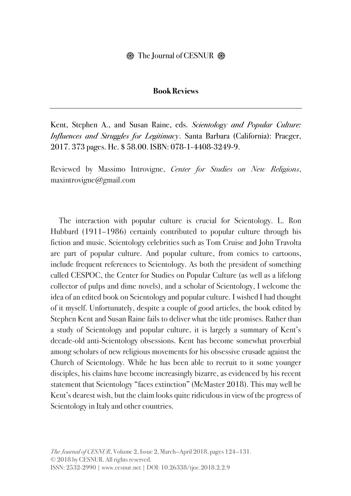## **Book Reviews**

Kent, Stephen A., and Susan Raine, eds. *Scientology and Popular Culture: Influences and Struggles for Legitimacy*. Santa Barbara (California): Praeger, 2017. 373 pages. Hc. \$ 58.00. ISBN: 078-1-4408-3249-9.

Reviewed by Massimo Introvigne, *Center for Studies on New Religions*, maxintrovigne@gmail.com

The interaction with popular culture is crucial for Scientology. L. Ron Hubbard (1911–1986) certainly contributed to popular culture through his fiction and music. Scientology celebrities such as Tom Cruise and John Travolta are part of popular culture. And popular culture, from comics to cartoons, include frequent references to Scientology. As both the president of something called CESPOC, the Center for Studies on Popular Culture (as well as a lifelong collector of pulps and dime novels), and a scholar of Scientology, I welcome the idea of an edited book on Scientology and popular culture. I wished I had thought of it myself. Unfortunately, despite a couple of good articles, the book edited by Stephen Kent and Susan Raine fails to deliver what the title promises. Rather than a study of Scientology and popular culture, it is largely a summary of Kent's decade-old anti-Scientology obsessions. Kent has become somewhat proverbial among scholars of new religious movements for his obsessive crusade against the Church of Scientology. While he has been able to recruit to it some younger disciples, his claims have become increasingly bizarre, as evidenced by his recent statement that Scientology "faces extinction" (McMaster 2018). This may well be Kent's dearest wish, but the claim looks quite ridiculous in view of the progress of Scientology in Italy and other countries.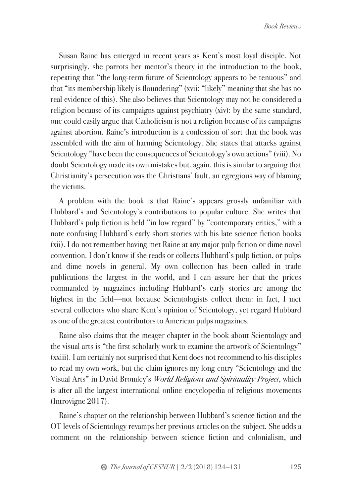Susan Raine has emerged in recent years as Kent's most loyal disciple. Not surprisingly, she parrots her mentor's theory in the introduction to the book, repeating that "the long-term future of Scientology appears to be tenuous" and that "its membership likely is floundering" (xvii: "likely" meaning that she has no real evidence of this). She also believes that Scientology may not be considered a religion because of its campaigns against psychiatry (xiv): by the same standard, one could easily argue that Catholicism is not a religion because of its campaigns against abortion. Raine's introduction is a confession of sort that the book was assembled with the aim of harming Scientology. She states that attacks against Scientology "have been the consequences of Scientology's own actions" (viii). No doubt Scientology made its own mistakes but, again, this is similar to arguing that Christianity's persecution was the Christians' fault, an egregious way of blaming the victims.

A problem with the book is that Raine's appears grossly unfamiliar with Hubbard's and Scientology's contributions to popular culture. She writes that Hubbard's pulp fiction is held "in low regard" by "contemporary critics," with a note confusing Hubbard's early short stories with his late science fiction books (xii). I do not remember having met Raine at any major pulp fiction or dime novel convention. I don't know if she reads or collects Hubbard's pulp fiction, or pulps and dime novels in general. My own collection has been called in trade publications the largest in the world, and I can assure her that the prices commanded by magazines including Hubbard's early stories are among the highest in the field—not because Scientologists collect them: in fact, I met several collectors who share Kent's opinion of Scientology, yet regard Hubbard as one of the greatest contributors to American pulps magazines.

Raine also claims that the meager chapter in the book about Scientology and the visual arts is "the first scholarly work to examine the artwork of Scientology" (xxiii). I am certainly not surprised that Kent does not recommend to his disciples to read my own work, but the claim ignores my long entry "Scientology and the Visual Arts" in David Bromley's *World Religions and Spirituality Project*, which is after all the largest international online encyclopedia of religious movements (Introvigne 2017).

Raine's chapter on the relationship between Hubbard's science fiction and the OT levels of Scientology revamps her previous articles on the subject. She adds a comment on the relationship between science fiction and colonialism, and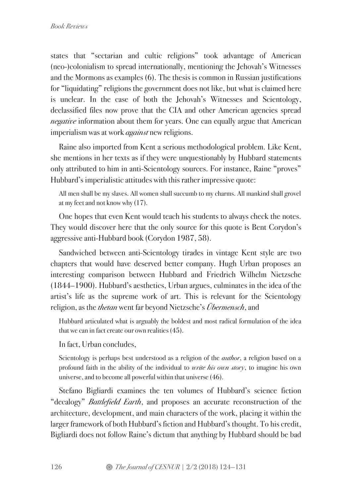states that "sectarian and cultic religions" took advantage of American (neo-)colonialism to spread internationally, mentioning the Jehovah's Witnesses and the Mormons as examples (6). The thesis is common in Russian justifications for "liquidating" religions the government does not like, but what is claimed here is unclear. In the case of both the Jehovah's Witnesses and Scientology, declassified files now prove that the CIA and other American agencies spread *negative* information about them for years. One can equally argue that American imperialism was at work *against* new religions.

Raine also imported from Kent a serious methodological problem. Like Kent, she mentions in her texts as if they were unquestionably by Hubbard statements only attributed to him in anti-Scientology sources. For instance, Raine "proves" Hubbard's imperialistic attitudes with this rather impressive quote:

All men shall be my slaves. All women shall succumb to my charms. All mankind shall grovel at my feet and not know why (17).

One hopes that even Kent would teach his students to always check the notes. They would discover here that the only source for this quote is Bent Corydon's aggressive anti-Hubbard book (Corydon 1987, 58).

Sandwiched between anti-Scientology tirades in vintage Kent style are two chapters that would have deserved better company. Hugh Urban proposes an interesting comparison between Hubbard and Friedrich Wilhelm Nietzsche (1844–1900). Hubbard's aesthetics, Urban argues, culminates in the idea of the artist's life as the supreme work of art. This is relevant for the Scientology religion, as the *thetan* went far beyond Nietzsche's *Übermensch*, and

Hubbard articulated what is arguably the boldest and most radical formulation of the idea that we can in fact create our own realities(45).

In fact, Urban concludes,

Scientology is perhaps best understood as a religion of the *author*, a religion based on a profound faith in the ability of the individual to *write his own story*, to imagine his own universe, and to become all powerful within that universe (46).

Stefano Bigliardi examines the ten volumes of Hubbard's science fiction "decalogy" *Battlefield Earth*, and proposes an accurate reconstruction of the architecture, development, and main characters of the work, placing it within the larger framework of both Hubbard's fiction and Hubbard's thought. To his credit, Bigliardi does not follow Raine's dictum that anything by Hubbard should be bad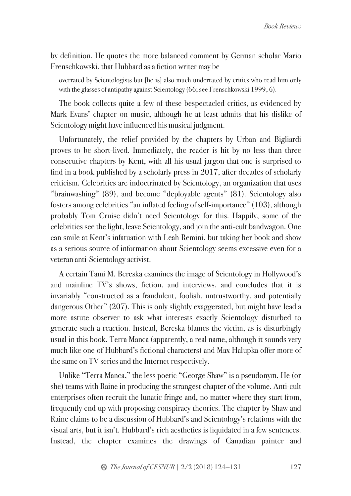by definition. He quotes the more balanced comment by German scholar Mario Frenschkowski, that Hubbard as a fiction writer may be

overrated by Scientologists but [he is] also much underrated by critics who read him only with the glasses of antipathy against Scientology (66; see Frenschkowski 1999, 6).

The book collects quite a few of these bespectacled critics, as evidenced by Mark Evans' chapter on music, although he at least admits that his dislike of Scientology might have influenced his musical judgment.

Unfortunately, the relief provided by the chapters by Urban and Bigliardi proves to be short-lived. Immediately, the reader is hit by no less than three consecutive chapters by Kent, with all his usual jargon that one is surprised to find in a book published by a scholarly press in 2017, after decades of scholarly criticism. Celebrities are indoctrinated by Scientology, an organization that uses "brainwashing" (89), and become "deployable agents" (81). Scientology also fosters among celebrities "an inflated feeling of self-importance" (103), although probably Tom Cruise didn't need Scientology for this. Happily, some of the celebrities see the light, leave Scientology, and join the anti-cult bandwagon. One can smile at Kent's infatuation with Leah Remini, but taking her book and show as a serious source of information about Scientology seems excessive even for a veteran anti-Scientology activist.

A certain Tami M. Bereska examines the image of Scientology in Hollywood's and mainline TV's shows, fiction, and interviews, and concludes that it is invariably "constructed as a fraudulent, foolish, untrustworthy, and potentially dangerous Other" (207). This is only slightly exaggerated, but might have lead a more astute observer to ask what interests exactly Scientology disturbed to generate such a reaction. Instead, Bereska blames the victim, as is disturbingly usual in this book. Terra Manca (apparently, a real name, although it sounds very much like one of Hubbard's fictional characters) and Max Halupka offer more of the same on TV series and the Internet respectively.

Unlike "Terra Manca," the less poetic "George Shaw" is a pseudonym. He (or she) teams with Raine in producing the strangest chapter of the volume. Anti-cult enterprises often recruit the lunatic fringe and, no matter where they start from, frequently end up with proposing conspiracy theories. The chapter by Shaw and Raine claims to be a discussion of Hubbard's and Scientology's relations with the visual arts, but it isn't. Hubbard's rich aesthetics is liquidated in a few sentences. Instead, the chapter examines the drawings of Canadian painter and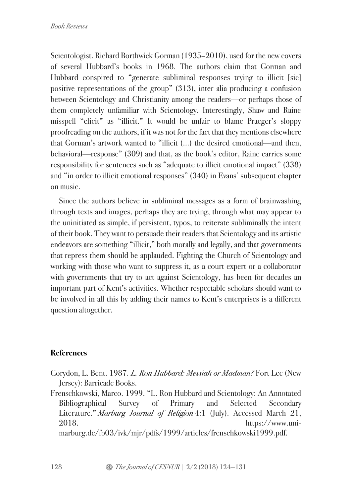Scientologist, Richard Borthwick Gorman (1935–2010), used for the new covers of several Hubbard's books in 1968. The authors claim that Gorman and Hubbard conspired to "generate subliminal responses trying to illicit [sic] positive representations of the group" (313), inter alia producing a confusion between Scientology and Christianity among the readers—or perhaps those of them completely unfamiliar with Scientology. Interestingly, Shaw and Raine misspell "elicit" as "illicit." It would be unfair to blame Praeger's sloppy proofreading on the authors, if it was not for the fact that they mentions elsewhere that Gorman's artwork wanted to "illicit (…) the desired emotional—and then, behavioral—response" (309) and that, as the book's editor, Raine carries some responsibility for sentences such as "adequate to illicit emotional impact" (338) and "in order to illicit emotional responses" (340) in Evans' subsequent chapter on music.

Since the authors believe in subliminal messages as a form of brainwashing through texts and images, perhaps they are trying, through what may appear to the uninitiated as simple, if persistent, typos, to reiterate subliminally the intent of their book. They want to persuade their readers that Scientology and its artistic endeavors are something "illicit," both morally and legally, and that governments that repress them should be applauded. Fighting the Church of Scientology and working with those who want to suppress it, as a court expert or a collaborator with governments that try to act against Scientology, has been for decades an important part of Kent's activities. Whether respectable scholars should want to be involved in all this by adding their names to Kent's enterprises is a different question altogether.

## **References**

- Corydon, L. Bent. 1987. *L. Ron Hubbard: Messiah or Madman?* Fort Lee (New Jersey): Barricade Books.
- Frenschkowski, Marco. 1999. "L. Ron Hubbard and Scientology: An Annotated Bibliographical Survey of Primary and Selected Secondary Literature." *Marburg Journal of Religion* 4:1 (July). Accessed March 21, 2018. https://www.uni-

marburg.de/fb03/ivk/mjr/pdfs/1999/articles/frenschkowski1999.pdf.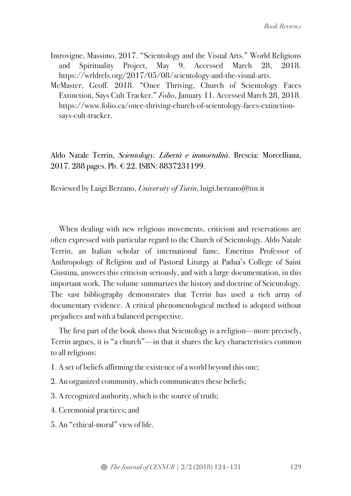- Introvigne, Massimo. 2017. "Scientology and the Visual Arts." World Religions and Spirituality Project, May 9. Accessed March 28, 2018. https://wrldrels.org/2017/05/08/scientology-and-the-visual-arts.
- McMaster, Geoff. 2018. "Once Thriving, Church of Scientology Faces Extinction, Says Cult Tracker." *Folio*, January 11. Accessed March 28, 2018. https://www.folio.ca/once-thriving-church-of-scientology-faces-extinctionsays-cult-tracker.

Aldo Natale Terrin, *Scientology. Libertà e immortalità*. Brescia: Morcelliana, 2017. 288 pages. Pb. € 22. ISBN: 8837231199.

Reviewed by Luigi Berzano, *University of Turin*, luigi.berzano@tin.it

When dealing with new religious movements, criticism and reservations are often expressed with particular regard to the Church of Scientology. Aldo Natale Terrin, an Italian scholar of international fame, Emeritus Professor of Anthropology of Religion and of Pastoral Liturgy at Padua's College of Saint Giustina, answers this criticism seriously, and with a large documentation, in this important work. The volume summarizes the history and doctrine of Scientology. The vast bibliography demonstrates that Terrin has used a rich array of documentary evidence. A critical phenomenological method is adopted without prejudices and with a balanced perspective.

The first part of the book shows that Scientology is a religion—more precisely, Terrin argues, it is "a church"—in that it shares the key characteristics common to all religions:

- 1. A set of beliefs affirming the existence of a world beyond this one;
- 2. An organized community, which communicates these beliefs;
- 3. A recognized authority, which is the source of truth;
- 4. Ceremonial practices; and
- 5. An "ethical-moral" view of life.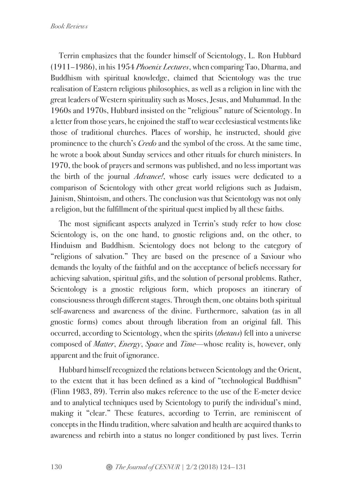Terrin emphasizes that the founder himself of Scientology, L. Ron Hubbard (1911–1986), in his 1954 *Phoenix Lectures*, when comparing Tao, Dharma, and Buddhism with spiritual knowledge, claimed that Scientology was the true realisation of Eastern religious philosophies, as well as a religion in line with the great leaders of Western spirituality such as Moses, Jesus, and Muhammad. In the 1960s and 1970s, Hubbard insisted on the "religious" nature of Scientology. In a letter from those years, he enjoined the staff to wear ecclesiastical vestments like those of traditional churches. Places of worship, he instructed, should give prominence to the church's *Credo* and the symbol of the cross. At the same time, he wrote a book about Sunday services and other rituals for church ministers. In 1970, the book of prayers and sermons was published, and no less important was the birth of the journal *Advance!*, whose early issues were dedicated to a comparison of Scientology with other great world religions such as Judaism, Jainism, Shintoism, and others. The conclusion was that Scientology was not only a religion, but the fulfillment of the spiritual quest implied by all these faiths.

The most significant aspects analyzed in Terrin's study refer to how close Scientology is, on the one hand, to gnostic religions and, on the other, to Hinduism and Buddhism. Scientology does not belong to the category of "religions of salvation." They are based on the presence of a Saviour who demands the loyalty of the faithful and on the acceptance of beliefs necessary for achieving salvation, spiritual gifts, and the solution of personal problems. Rather, Scientology is a gnostic religious form, which proposes an itinerary of consciousness through different stages. Through them, one obtains both spiritual self-awareness and awareness of the divine. Furthermore, salvation (as in all gnostic forms) comes about through liberation from an original fall. This occurred, according to Scientology, when the spirits (*thetans*) fell into a universe composed of *Matter*, *Energy*, *Space* and *Time*—whose reality is, however, only apparent and the fruit of ignorance.

Hubbard himself recognized the relations between Scientology and the Orient, to the extent that it has been defined as a kind of "technological Buddhism" (Flinn 1983, 89). Terrin also makes reference to the use of the E-meter device and to analytical techniques used by Scientology to purify the individual's mind, making it "clear." These features, according to Terrin, are reminiscent of concepts in the Hindu tradition, where salvation and health are acquired thanks to awareness and rebirth into a status no longer conditioned by past lives. Terrin